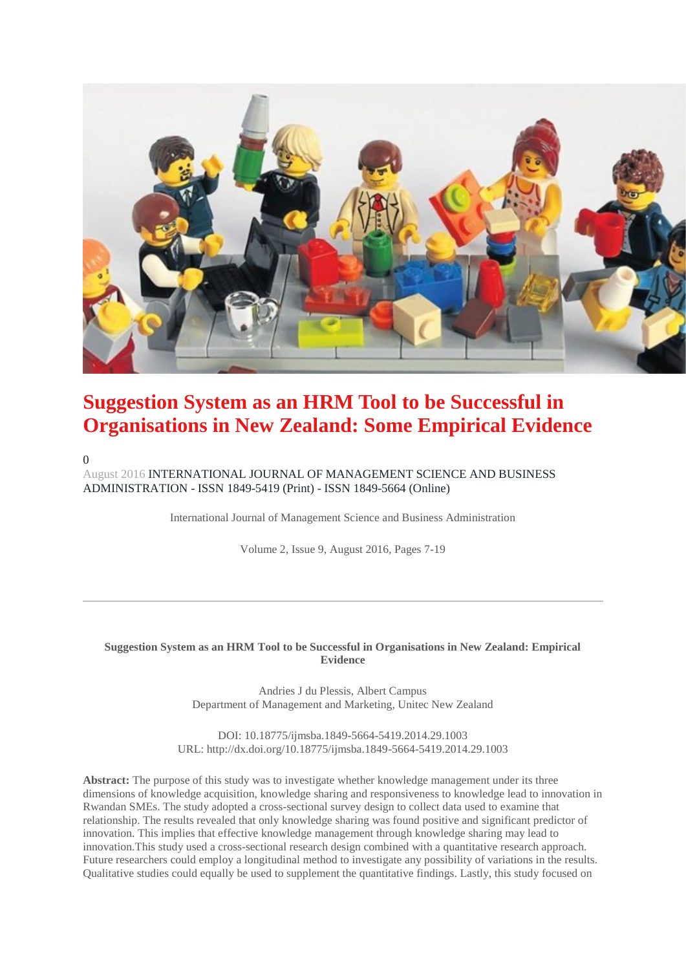

# **Suggestion System as an HRM Tool to be Successful in Organisations in New Zealand: Some Empirical Evidence**

 $\theta$ 

August 201[6 INTERNATIONAL JOURNAL OF MANAGEMENT SCIENCE AND BUSINESS](http://researchleap.com/category/international-journal-of-management-science-and-business-administration/)  ADMINISTRATION - ISSN 1849-5419 (Print) - [ISSN 1849-5664 \(Online\)](http://researchleap.com/category/international-journal-of-management-science-and-business-administration/)

International Journal of Management Science and Business Administration

Volume 2, Issue 9, August 2016, Pages 7-19

#### **Suggestion System as an HRM Tool to be Successful in Organisations in New Zealand: Empirical Evidence**

Andries J du Plessis, Albert Campus Department of Management and Marketing, Unitec New Zealand

DOI: 10.18775/ijmsba.1849-5664-5419.2014.29.1003 URL: http://dx.doi.org/10.18775/ijmsba.1849-5664-5419.2014.29.1003

**Abstract:** The purpose of this study was to investigate whether knowledge management under its three dimensions of knowledge acquisition, knowledge sharing and responsiveness to knowledge lead to innovation in Rwandan SMEs. The study adopted a cross-sectional survey design to collect data used to examine that relationship. The results revealed that only knowledge sharing was found positive and significant predictor of innovation. This implies that effective knowledge management through knowledge sharing may lead to innovation.This study used a cross-sectional research design combined with a quantitative research approach. Future researchers could employ a longitudinal method to investigate any possibility of variations in the results. Qualitative studies could equally be used to supplement the quantitative findings. Lastly, this study focused on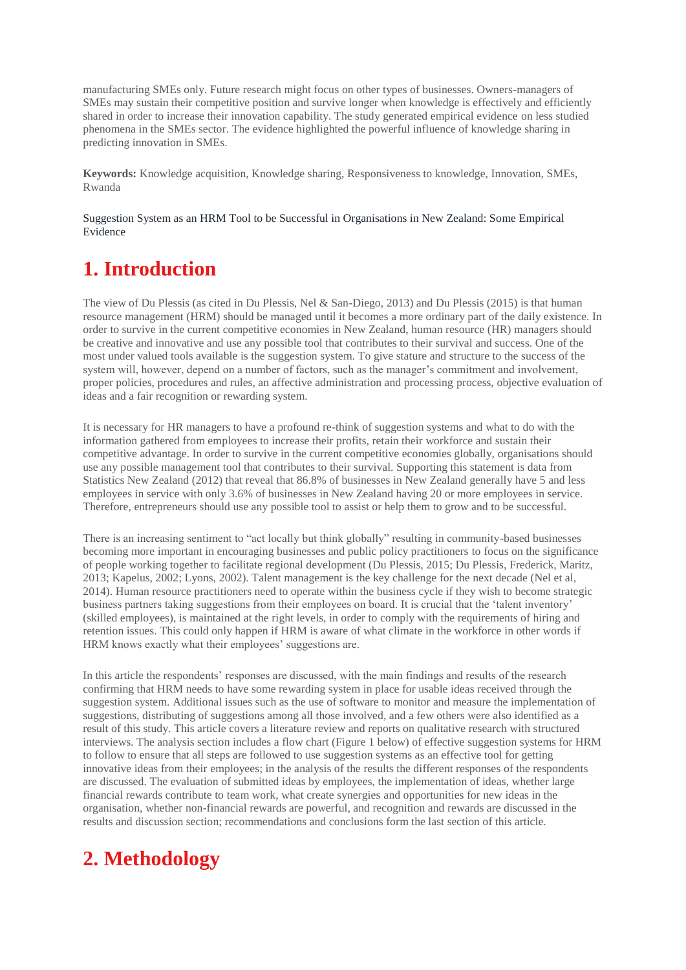manufacturing SMEs only. Future research might focus on other types of businesses. Owners-managers of SMEs may sustain their competitive position and survive longer when knowledge is effectively and efficiently shared in order to increase their innovation capability. The study generated empirical evidence on less studied phenomena in the SMEs sector. The evidence highlighted the powerful influence of knowledge sharing in predicting innovation in SMEs.

**Keywords:** Knowledge acquisition, Knowledge sharing, Responsiveness to knowledge, Innovation, SMEs, Rwanda

[Suggestion System as an HRM Tool to be Successful in Organisations in New Zealand: Some Empirical](http://researchleap.com/wp-content/uploads/2016/09/Suggestion-System-as-an-HRM-Tool-to-be-Successful-in-Organisations-in-New-Zealand-Empirical-Evidence.pdf)  [Evidence](http://researchleap.com/wp-content/uploads/2016/09/Suggestion-System-as-an-HRM-Tool-to-be-Successful-in-Organisations-in-New-Zealand-Empirical-Evidence.pdf)

# **1. Introduction**

The view of Du Plessis (as cited in Du Plessis, Nel & San-Diego, 2013) and Du Plessis (2015) is that human resource management (HRM) should be managed until it becomes a more ordinary part of the daily existence. In order to survive in the current competitive economies in New Zealand, human resource (HR) managers should be creative and innovative and use any possible tool that contributes to their survival and success. One of the most under valued tools available is the suggestion system. To give stature and structure to the success of the system will, however, depend on a number of factors, such as the manager's commitment and involvement, proper policies, procedures and rules, an affective administration and processing process, objective evaluation of ideas and a fair recognition or rewarding system.

It is necessary for HR managers to have a profound re-think of suggestion systems and what to do with the information gathered from employees to increase their profits, retain their workforce and sustain their competitive advantage. In order to survive in the current competitive economies globally, organisations should use any possible management tool that contributes to their survival. Supporting this statement is data from Statistics New Zealand (2012) that reveal that 86.8% of businesses in New Zealand generally have 5 and less employees in service with only 3.6% of businesses in New Zealand having 20 or more employees in service. Therefore, entrepreneurs should use any possible tool to assist or help them to grow and to be successful.

There is an increasing sentiment to "act locally but think globally" resulting in community-based businesses becoming more important in encouraging businesses and public policy practitioners to focus on the significance of people working together to facilitate regional development (Du Plessis, 2015; Du Plessis, Frederick, Maritz, 2013; Kapelus, 2002; Lyons, 2002). Talent management is the key challenge for the next decade (Nel et al, 2014). Human resource practitioners need to operate within the business cycle if they wish to become strategic business partners taking suggestions from their employees on board. It is crucial that the 'talent inventory' (skilled employees), is maintained at the right levels, in order to comply with the requirements of hiring and retention issues. This could only happen if HRM is aware of what climate in the workforce in other words if HRM knows exactly what their employees' suggestions are.

In this article the respondents' responses are discussed, with the main findings and results of the research confirming that HRM needs to have some rewarding system in place for usable ideas received through the suggestion system. Additional issues such as the use of software to monitor and measure the implementation of suggestions, distributing of suggestions among all those involved, and a few others were also identified as a result of this study. This article covers a literature review and reports on qualitative research with structured interviews. The analysis section includes a flow chart (Figure 1 below) of effective suggestion systems for HRM to follow to ensure that all steps are followed to use suggestion systems as an effective tool for getting innovative ideas from their employees; in the analysis of the results the different responses of the respondents are discussed. The evaluation of submitted ideas by employees, the implementation of ideas, whether large financial rewards contribute to team work, what create synergies and opportunities for new ideas in the organisation, whether non-financial rewards are powerful, and recognition and rewards are discussed in the results and discussion section; recommendations and conclusions form the last section of this article.

# **2. Methodology**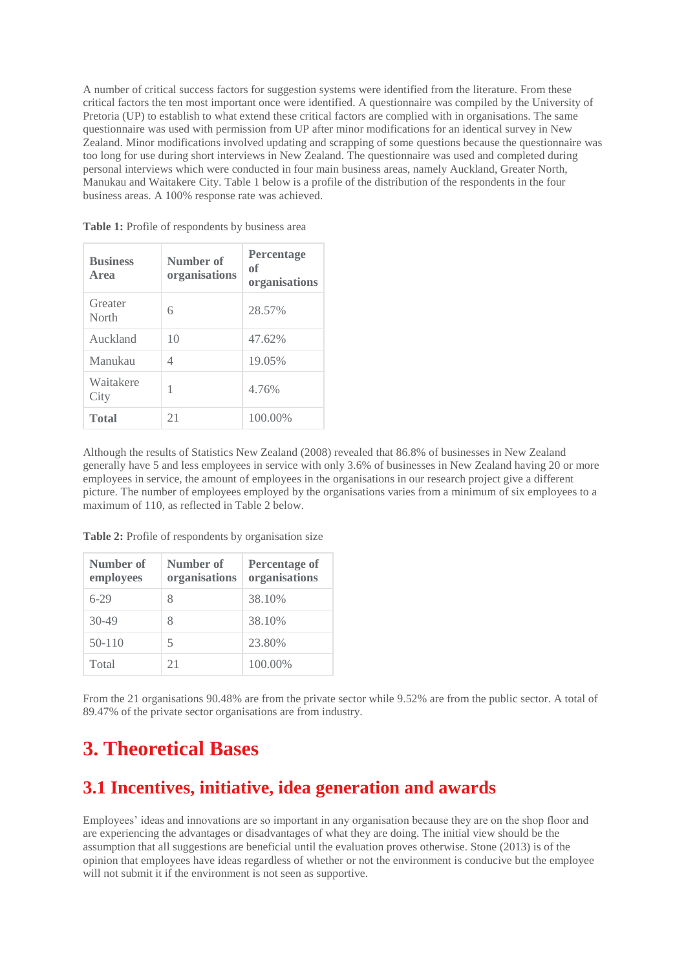A number of critical success factors for suggestion systems were identified from the literature. From these critical factors the ten most important once were identified. A questionnaire was compiled by the University of Pretoria (UP) to establish to what extend these critical factors are complied with in organisations. The same questionnaire was used with permission from UP after minor modifications for an identical survey in New Zealand. Minor modifications involved updating and scrapping of some questions because the questionnaire was too long for use during short interviews in New Zealand. The questionnaire was used and completed during personal interviews which were conducted in four main business areas, namely Auckland, Greater North, Manukau and Waitakere City. Table 1 below is a profile of the distribution of the respondents in the four business areas. A 100% response rate was achieved.

| <b>Business</b><br>Area | Number of<br>organisations | <b>Percentage</b><br>of<br>organisations |
|-------------------------|----------------------------|------------------------------------------|
| Greater<br>North        | 6                          | 28.57%                                   |
| Auckland                | 10                         | 47.62%                                   |
| Manukau                 | 4                          | 19.05%                                   |
| Waitakere<br>City       | 1                          | 4.76%                                    |
| <b>Total</b>            | 21                         | 100.00%                                  |

Table 1: Profile of respondents by business area

Although the results of Statistics New Zealand (2008) revealed that 86.8% of businesses in New Zealand generally have 5 and less employees in service with only 3.6% of businesses in New Zealand having 20 or more employees in service, the amount of employees in the organisations in our research project give a different picture. The number of employees employed by the organisations varies from a minimum of six employees to a maximum of 110, as reflected in Table 2 below.

**Table 2:** Profile of respondents by organisation size

| Number of<br>employees | Number of<br>organisations | <b>Percentage of</b><br>organisations |
|------------------------|----------------------------|---------------------------------------|
| $6-29$                 | 8                          | 38.10%                                |
| $30-49$                | 8                          | 38.10%                                |
| $50-110$               | 5                          | 23.80%                                |
| Total                  | 21                         | 100.00%                               |

From the 21 organisations 90.48% are from the private sector while 9.52% are from the public sector. A total of 89.47% of the private sector organisations are from industry.

## **3. Theoretical Bases**

#### **3.1 Incentives, initiative, idea generation and awards**

Employees' ideas and innovations are so important in any organisation because they are on the shop floor and are experiencing the advantages or disadvantages of what they are doing. The initial view should be the assumption that all suggestions are beneficial until the evaluation proves otherwise. Stone (2013) is of the opinion that employees have ideas regardless of whether or not the environment is conducive but the employee will not submit it if the environment is not seen as supportive.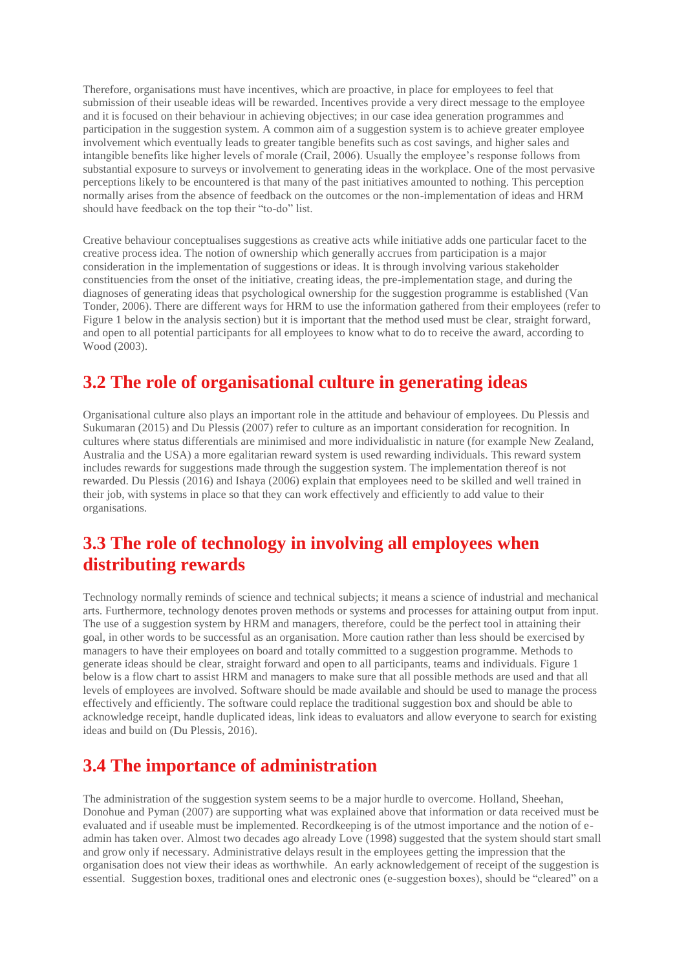Therefore, organisations must have incentives, which are proactive, in place for employees to feel that submission of their useable ideas will be rewarded. Incentives provide a very direct message to the employee and it is focused on their behaviour in achieving objectives; in our case idea generation programmes and participation in the suggestion system. A common aim of a suggestion system is to achieve greater employee involvement which eventually leads to greater tangible benefits such as cost savings, and higher sales and intangible benefits like higher levels of morale (Crail, 2006). Usually the employee's response follows from substantial exposure to surveys or involvement to generating ideas in the workplace. One of the most pervasive perceptions likely to be encountered is that many of the past initiatives amounted to nothing. This perception normally arises from the absence of feedback on the outcomes or the non-implementation of ideas and HRM should have feedback on the top their "to-do" list.

Creative behaviour conceptualises suggestions as creative acts while initiative adds one particular facet to the creative process idea. The notion of ownership which generally accrues from participation is a major consideration in the implementation of suggestions or ideas. It is through involving various stakeholder constituencies from the onset of the initiative, creating ideas, the pre-implementation stage, and during the diagnoses of generating ideas that psychological ownership for the suggestion programme is established (Van Tonder, 2006). There are different ways for HRM to use the information gathered from their employees (refer to Figure 1 below in the analysis section) but it is important that the method used must be clear, straight forward, and open to all potential participants for all employees to know what to do to receive the award, according to Wood (2003).

### **3.2 The role of organisational culture in generating ideas**

Organisational culture also plays an important role in the attitude and behaviour of employees. Du Plessis and Sukumaran (2015) and Du Plessis (2007) refer to culture as an important consideration for recognition. In cultures where status differentials are minimised and more individualistic in nature (for example New Zealand, Australia and the USA) a more egalitarian reward system is used rewarding individuals. This reward system includes rewards for suggestions made through the suggestion system. The implementation thereof is not rewarded. Du Plessis (2016) and Ishaya (2006) explain that employees need to be skilled and well trained in their job, with systems in place so that they can work effectively and efficiently to add value to their organisations.

### **3.3 The role of technology in involving all employees when distributing rewards**

Technology normally reminds of science and technical subjects; it means a science of industrial and mechanical arts. Furthermore, technology denotes proven methods or systems and processes for attaining output from input. The use of a suggestion system by HRM and managers, therefore, could be the perfect tool in attaining their goal, in other words to be successful as an organisation. More caution rather than less should be exercised by managers to have their employees on board and totally committed to a suggestion programme. Methods to generate ideas should be clear, straight forward and open to all participants, teams and individuals. Figure 1 below is a flow chart to assist HRM and managers to make sure that all possible methods are used and that all levels of employees are involved. Software should be made available and should be used to manage the process effectively and efficiently. The software could replace the traditional suggestion box and should be able to acknowledge receipt, handle duplicated ideas, link ideas to evaluators and allow everyone to search for existing ideas and build on (Du Plessis, 2016).

## **3.4 The importance of administration**

The administration of the suggestion system seems to be a major hurdle to overcome. Holland, Sheehan, Donohue and Pyman (2007) are supporting what was explained above that information or data received must be evaluated and if useable must be implemented. Recordkeeping is of the utmost importance and the notion of eadmin has taken over. Almost two decades ago already Love (1998) suggested that the system should start small and grow only if necessary. Administrative delays result in the employees getting the impression that the organisation does not view their ideas as worthwhile. An early acknowledgement of receipt of the suggestion is essential. Suggestion boxes, traditional ones and electronic ones (e-suggestion boxes), should be "cleared" on a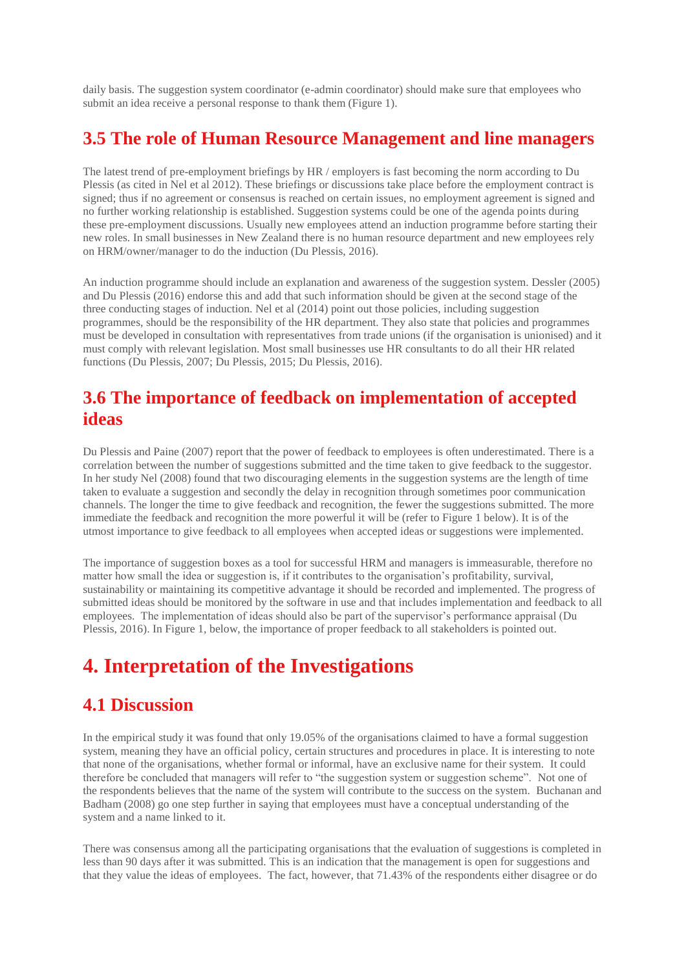daily basis. The suggestion system coordinator (e-admin coordinator) should make sure that employees who submit an idea receive a personal response to thank them (Figure 1).

#### **3.5 The role of Human Resource Management and line managers**

The latest trend of pre-employment briefings by HR / employers is fast becoming the norm according to Du Plessis (as cited in Nel et al 2012). These briefings or discussions take place before the employment contract is signed; thus if no agreement or consensus is reached on certain issues, no employment agreement is signed and no further working relationship is established. Suggestion systems could be one of the agenda points during these pre-employment discussions. Usually new employees attend an induction programme before starting their new roles. In small businesses in New Zealand there is no human resource department and new employees rely on HRM/owner/manager to do the induction (Du Plessis, 2016).

An induction programme should include an explanation and awareness of the suggestion system. Dessler (2005) and Du Plessis (2016) endorse this and add that such information should be given at the second stage of the three conducting stages of induction. Nel et al (2014) point out those policies, including suggestion programmes, should be the responsibility of the HR department. They also state that policies and programmes must be developed in consultation with representatives from trade unions (if the organisation is unionised) and it must comply with relevant legislation. Most small businesses use HR consultants to do all their HR related functions (Du Plessis, 2007; Du Plessis, 2015; Du Plessis, 2016).

### **3.6 The importance of feedback on implementation of accepted ideas**

Du Plessis and Paine (2007) report that the power of feedback to employees is often underestimated. There is a correlation between the number of suggestions submitted and the time taken to give feedback to the suggestor. In her study Nel (2008) found that two discouraging elements in the suggestion systems are the length of time taken to evaluate a suggestion and secondly the delay in recognition through sometimes poor communication channels. The longer the time to give feedback and recognition, the fewer the suggestions submitted. The more immediate the feedback and recognition the more powerful it will be (refer to Figure 1 below). It is of the utmost importance to give feedback to all employees when accepted ideas or suggestions were implemented.

The importance of suggestion boxes as a tool for successful HRM and managers is immeasurable, therefore no matter how small the idea or suggestion is, if it contributes to the organisation's profitability, survival, sustainability or maintaining its competitive advantage it should be recorded and implemented. The progress of submitted ideas should be monitored by the software in use and that includes implementation and feedback to all employees. The implementation of ideas should also be part of the supervisor's performance appraisal (Du Plessis, 2016). In Figure 1, below, the importance of proper feedback to all stakeholders is pointed out.

# **4. Interpretation of the Investigations**

#### **4.1 Discussion**

In the empirical study it was found that only 19.05% of the organisations claimed to have a formal suggestion system, meaning they have an official policy, certain structures and procedures in place. It is interesting to note that none of the organisations, whether formal or informal, have an exclusive name for their system. It could therefore be concluded that managers will refer to "the suggestion system or suggestion scheme". Not one of the respondents believes that the name of the system will contribute to the success on the system. Buchanan and Badham (2008) go one step further in saying that employees must have a conceptual understanding of the system and a name linked to it.

There was consensus among all the participating organisations that the evaluation of suggestions is completed in less than 90 days after it was submitted. This is an indication that the management is open for suggestions and that they value the ideas of employees. The fact, however, that 71.43% of the respondents either disagree or do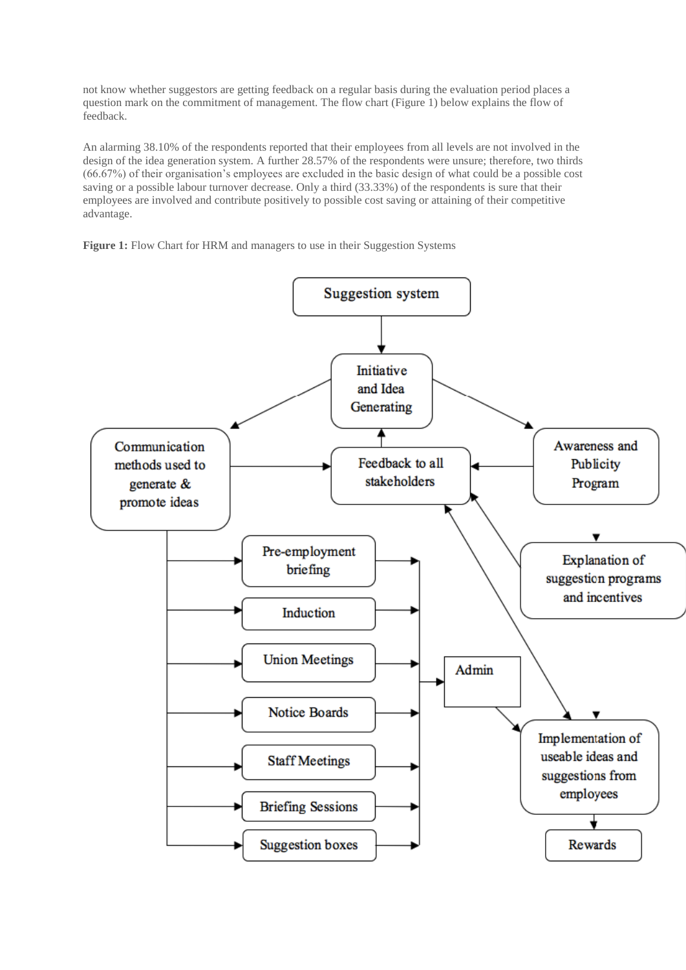not know whether suggestors are getting feedback on a regular basis during the evaluation period places a question mark on the commitment of management. The flow chart (Figure 1) below explains the flow of feedback.

An alarming 38.10% of the respondents reported that their employees from all levels are not involved in the design of the idea generation system. A further 28.57% of the respondents were unsure; therefore, two thirds (66.67%) of their organisation's employees are excluded in the basic design of what could be a possible cost saving or a possible labour turnover decrease. Only a third (33.33%) of the respondents is sure that their employees are involved and contribute positively to possible cost saving or attaining of their competitive advantage.

Figure 1: Flow Chart for HRM and managers to use in their Suggestion Systems

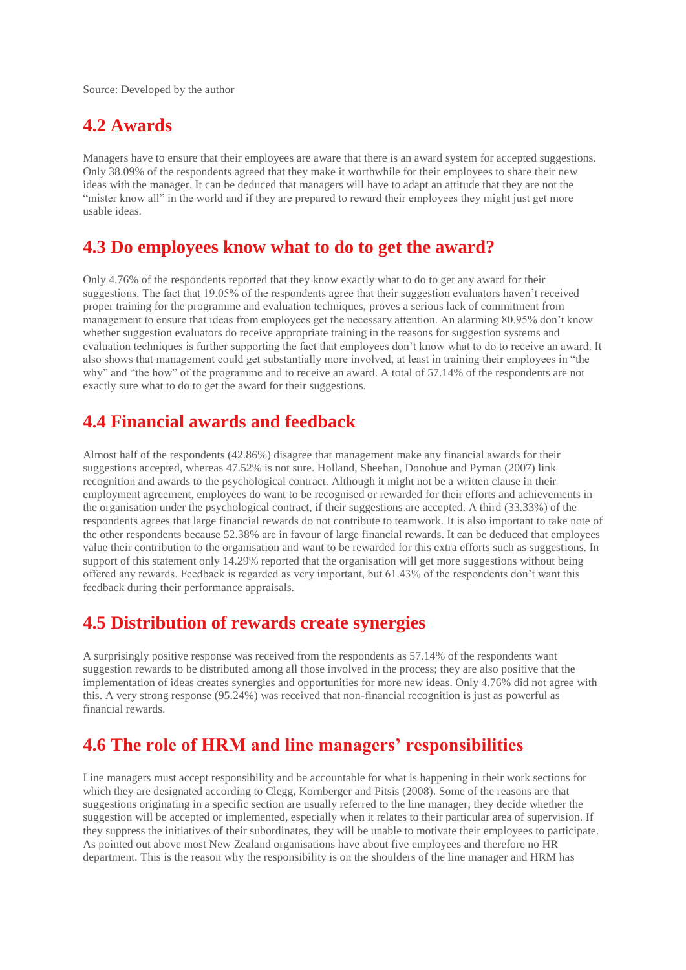Source: Developed by the author

#### **4.2 Awards**

Managers have to ensure that their employees are aware that there is an award system for accepted suggestions. Only 38.09% of the respondents agreed that they make it worthwhile for their employees to share their new ideas with the manager. It can be deduced that managers will have to adapt an attitude that they are not the "mister know all" in the world and if they are prepared to reward their employees they might just get more usable ideas.

#### **4.3 Do employees know what to do to get the award?**

Only 4.76% of the respondents reported that they know exactly what to do to get any award for their suggestions. The fact that 19.05% of the respondents agree that their suggestion evaluators haven't received proper training for the programme and evaluation techniques, proves a serious lack of commitment from management to ensure that ideas from employees get the necessary attention. An alarming 80.95% don't know whether suggestion evaluators do receive appropriate training in the reasons for suggestion systems and evaluation techniques is further supporting the fact that employees don't know what to do to receive an award. It also shows that management could get substantially more involved, at least in training their employees in "the why" and "the how" of the programme and to receive an award. A total of 57.14% of the respondents are not exactly sure what to do to get the award for their suggestions.

#### **4.4 Financial awards and feedback**

Almost half of the respondents (42.86%) disagree that management make any financial awards for their suggestions accepted, whereas 47.52% is not sure. Holland, Sheehan, Donohue and Pyman (2007) link recognition and awards to the psychological contract. Although it might not be a written clause in their employment agreement, employees do want to be recognised or rewarded for their efforts and achievements in the organisation under the psychological contract, if their suggestions are accepted. A third (33.33%) of the respondents agrees that large financial rewards do not contribute to teamwork. It is also important to take note of the other respondents because 52.38% are in favour of large financial rewards. It can be deduced that employees value their contribution to the organisation and want to be rewarded for this extra efforts such as suggestions. In support of this statement only 14.29% reported that the organisation will get more suggestions without being offered any rewards. Feedback is regarded as very important, but 61.43% of the respondents don't want this feedback during their performance appraisals.

#### **4.5 Distribution of rewards create synergies**

A surprisingly positive response was received from the respondents as 57.14% of the respondents want suggestion rewards to be distributed among all those involved in the process; they are also positive that the implementation of ideas creates synergies and opportunities for more new ideas. Only 4.76% did not agree with this. A very strong response (95.24%) was received that non-financial recognition is just as powerful as financial rewards.

#### **4.6 The role of HRM and line managers' responsibilities**

Line managers must accept responsibility and be accountable for what is happening in their work sections for which they are designated according to Clegg, Kornberger and Pitsis (2008). Some of the reasons are that suggestions originating in a specific section are usually referred to the line manager; they decide whether the suggestion will be accepted or implemented, especially when it relates to their particular area of supervision. If they suppress the initiatives of their subordinates, they will be unable to motivate their employees to participate. As pointed out above most New Zealand organisations have about five employees and therefore no HR department. This is the reason why the responsibility is on the shoulders of the line manager and HRM has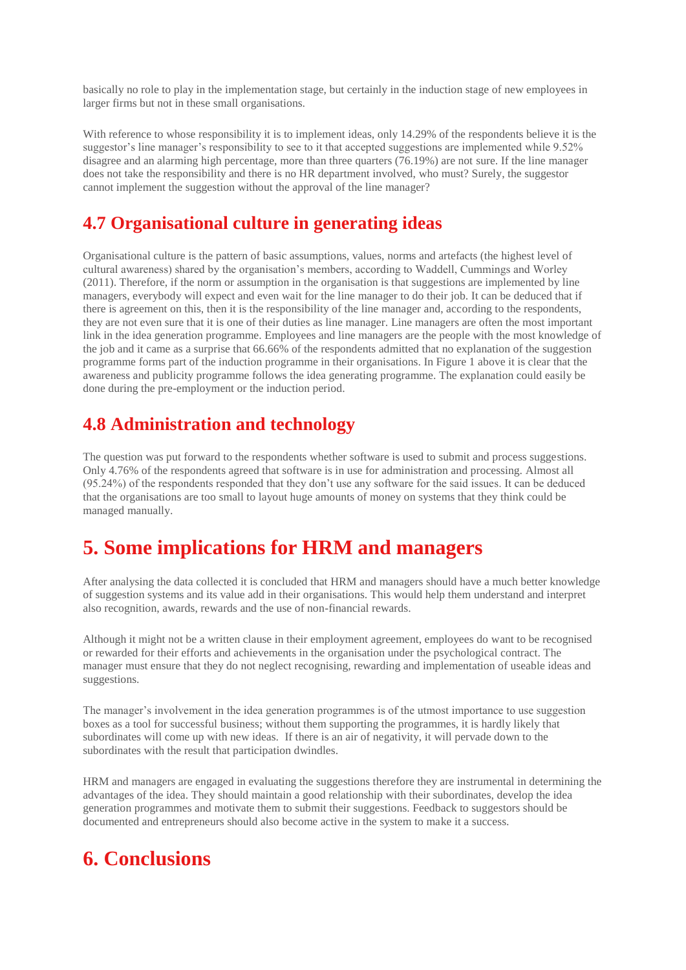basically no role to play in the implementation stage, but certainly in the induction stage of new employees in larger firms but not in these small organisations.

With reference to whose responsibility it is to implement ideas, only 14.29% of the respondents believe it is the suggestor's line manager's responsibility to see to it that accepted suggestions are implemented while 9.52% disagree and an alarming high percentage, more than three quarters (76.19%) are not sure. If the line manager does not take the responsibility and there is no HR department involved, who must? Surely, the suggestor cannot implement the suggestion without the approval of the line manager?

### **4.7 Organisational culture in generating ideas**

Organisational culture is the pattern of basic assumptions, values, norms and artefacts (the highest level of cultural awareness) shared by the organisation's members, according to Waddell, Cummings and Worley (2011). Therefore, if the norm or assumption in the organisation is that suggestions are implemented by line managers, everybody will expect and even wait for the line manager to do their job. It can be deduced that if there is agreement on this, then it is the responsibility of the line manager and, according to the respondents, they are not even sure that it is one of their duties as line manager. Line managers are often the most important link in the idea generation programme. Employees and line managers are the people with the most knowledge of the job and it came as a surprise that 66.66% of the respondents admitted that no explanation of the suggestion programme forms part of the induction programme in their organisations. In Figure 1 above it is clear that the awareness and publicity programme follows the idea generating programme. The explanation could easily be done during the pre-employment or the induction period.

### **4.8 Administration and technology**

The question was put forward to the respondents whether software is used to submit and process suggestions. Only 4.76% of the respondents agreed that software is in use for administration and processing. Almost all (95.24%) of the respondents responded that they don't use any software for the said issues. It can be deduced that the organisations are too small to layout huge amounts of money on systems that they think could be managed manually.

# **5. Some implications for HRM and managers**

After analysing the data collected it is concluded that HRM and managers should have a much better knowledge of suggestion systems and its value add in their organisations. This would help them understand and interpret also recognition, awards, rewards and the use of non-financial rewards.

Although it might not be a written clause in their employment agreement, employees do want to be recognised or rewarded for their efforts and achievements in the organisation under the psychological contract. The manager must ensure that they do not neglect recognising, rewarding and implementation of useable ideas and suggestions.

The manager's involvement in the idea generation programmes is of the utmost importance to use suggestion boxes as a tool for successful business; without them supporting the programmes, it is hardly likely that subordinates will come up with new ideas. If there is an air of negativity, it will pervade down to the subordinates with the result that participation dwindles.

HRM and managers are engaged in evaluating the suggestions therefore they are instrumental in determining the advantages of the idea. They should maintain a good relationship with their subordinates, develop the idea generation programmes and motivate them to submit their suggestions. Feedback to suggestors should be documented and entrepreneurs should also become active in the system to make it a success.

# **6. Conclusions**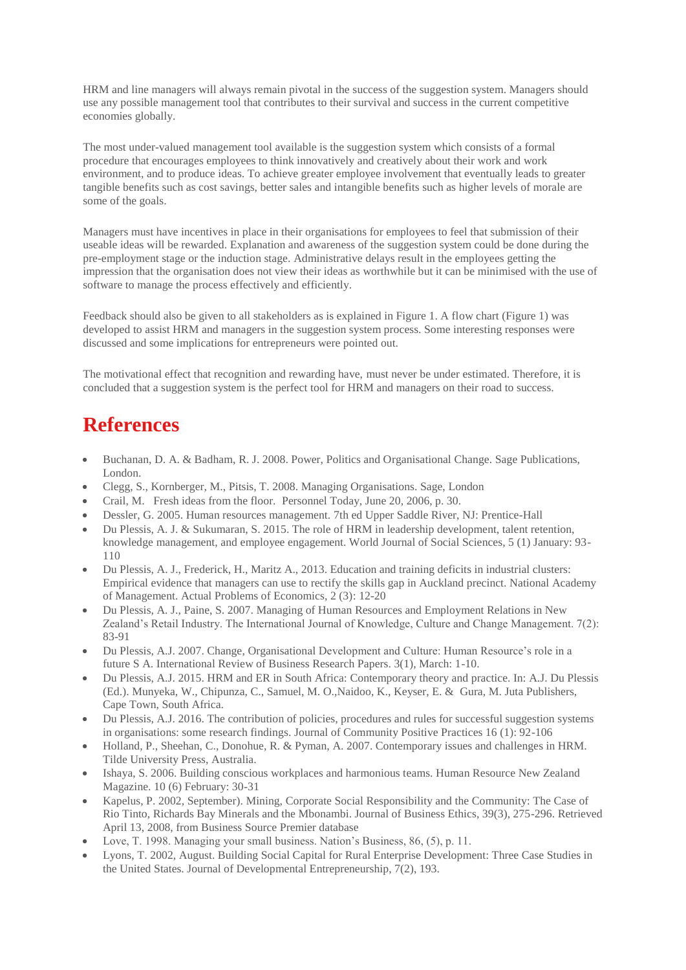HRM and line managers will always remain pivotal in the success of the suggestion system. Managers should use any possible management tool that contributes to their survival and success in the current competitive economies globally.

The most under-valued management tool available is the suggestion system which consists of a formal procedure that encourages employees to think innovatively and creatively about their work and work environment, and to produce ideas. To achieve greater employee involvement that eventually leads to greater tangible benefits such as cost savings, better sales and intangible benefits such as higher levels of morale are some of the goals.

Managers must have incentives in place in their organisations for employees to feel that submission of their useable ideas will be rewarded. Explanation and awareness of the suggestion system could be done during the pre-employment stage or the induction stage. Administrative delays result in the employees getting the impression that the organisation does not view their ideas as worthwhile but it can be minimised with the use of software to manage the process effectively and efficiently.

Feedback should also be given to all stakeholders as is explained in Figure 1. A flow chart (Figure 1) was developed to assist HRM and managers in the suggestion system process. Some interesting responses were discussed and some implications for entrepreneurs were pointed out.

The motivational effect that recognition and rewarding have, must never be under estimated. Therefore, it is concluded that a suggestion system is the perfect tool for HRM and managers on their road to success.

# **References**

- Buchanan, D. A. & Badham, R. J. 2008. Power, Politics and Organisational Change. Sage Publications, London.
- Clegg, S., Kornberger, M., Pitsis, T. 2008. Managing Organisations. Sage, London
- Crail, M. Fresh ideas from the floor. Personnel Today, June 20, 2006, p. 30.
- Dessler, G. 2005. Human resources management. 7th ed Upper Saddle River, NJ: Prentice-Hall
- Du Plessis, A. J. & Sukumaran, S. 2015. The role of HRM in leadership development, talent retention, knowledge management, and employee engagement. World Journal of Social Sciences, 5 (1) January: 93- 110
- Du Plessis, A. J., Frederick, H., Maritz A., 2013. Education and training deficits in industrial clusters: Empirical evidence that managers can use to rectify the skills gap in Auckland precinct. National Academy of Management. Actual Problems of Economics, 2 (3): 12-20
- Du Plessis, A. J., Paine, S. 2007. Managing of Human Resources and Employment Relations in New Zealand's Retail Industry. The International Journal of Knowledge, Culture and Change Management. 7(2): 83-91
- Du Plessis, A.J. 2007. Change, Organisational Development and Culture: Human Resource's role in a future S A. International Review of Business Research Papers. 3(1), March: 1-10.
- Du Plessis, A.J. 2015. HRM and ER in South Africa: Contemporary theory and practice. In: A.J. Du Plessis (Ed.). Munyeka, W., Chipunza, C., Samuel, M. O.,Naidoo, K., Keyser, E. & Gura, M. Juta Publishers, Cape Town, South Africa.
- Du Plessis, A.J. 2016. The contribution of policies, procedures and rules for successful suggestion systems in organisations: some research findings. Journal of Community Positive Practices 16 (1): 92-106
- Holland, P., Sheehan, C., Donohue, R. & Pyman, A. 2007. Contemporary issues and challenges in HRM. Tilde University Press, Australia.
- Ishaya, S. 2006. Building conscious workplaces and harmonious teams. Human Resource New Zealand Magazine. 10 (6) February: 30-31
- Kapelus, P. 2002, September). Mining, Corporate Social Responsibility and the Community: The Case of Rio Tinto, Richards Bay Minerals and the Mbonambi. Journal of Business Ethics, 39(3), 275-296. Retrieved April 13, 2008, from Business Source Premier database
- Love, T. 1998. Managing your small business. Nation's Business, 86, (5), p. 11.
- Lyons, T. 2002, August. Building Social Capital for Rural Enterprise Development: Three Case Studies in the United States. Journal of Developmental Entrepreneurship, 7(2), 193.